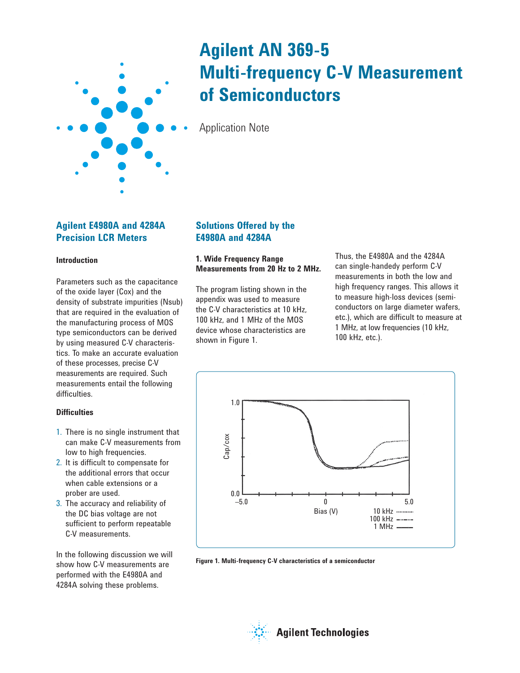

# **Agilent AN 369-5 Multi-frequency C-V Measurement of Semiconductors**

Application Note

# **Agilent E4980A and 4284A Precision LCR Meters**

## **Introduction**

Parameters such as the capacitance of the oxide layer (Cox) and the density of substrate impurities (Nsub) that are required in the evaluation of the manufacturing process of MOS type semiconductors can be derived by using measured C-V characteristics. To make an accurate evaluation of these processes, precise C-V measurements are required. Such measurements entail the following difficulties.

# **Difficulties**

- 1. There is no single instrument that can make C-V measurements from low to high frequencies.
- 2. It is difficult to compensate for the additional errors that occur when cable extensions or a prober are used.
- 3. The accuracy and reliability of the DC bias voltage are not sufficient to perform repeatable C-V measurements.

In the following discussion we will show how C-V measurements are performed with the E4980A and 4284A solving these problems.

# **Solutions Offered by the E4980A and 4284A**

# **1. Wide Frequency Range Measurements from 20 Hz to 2 MHz.**

The program listing shown in the appendix was used to measure the C-V characteristics at 10 kHz, 100 kHz, and 1 MHz of the MOS device whose characteristics are shown in Figure 1.

Thus, the E4980A and the 4284A can single-handedy perform C-V measurements in both the low and high frequency ranges. This allows it to measure high-loss devices (semiconductors on large diameter wafers, etc.), which are difficult to measure at 1 MHz, at low frequencies (10 kHz, 100 kHz, etc.).



**Figure 1. Multi-frequency C-V characteristics of a semiconductor**

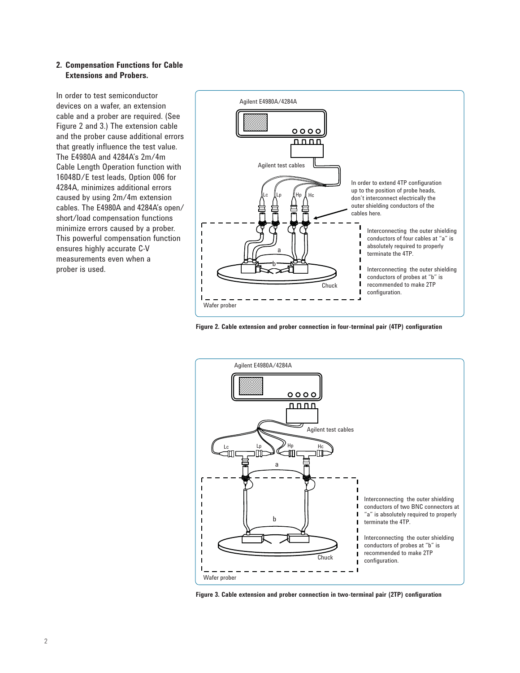### **2. Compensation Functions for Cable Extensions and Probers.**

In order to test semiconductor devices on a wafer, an extension cable and a prober are required. (See Figure 2 and 3.) The extension cable and the prober cause additional errors that greatly influence the test value. The E4980A and 4284A's 2m/4m Cable Length Operation function with 16048D/E test leads, Option 006 for 4284A, minimizes additional errors caused by using 2m/4m extension cables. The E4980A and 4284A's open/ short/load compensation functions minimize errors caused by a prober. This powerful compensation function ensures highly accurate C-V measurements even when a prober is used.



**Figure 2. Cable extension and prober connection in four-terminal pair (4TP) configuration**



**Figure 3. Cable extension and prober connection in two-terminal pair (2TP) configuration**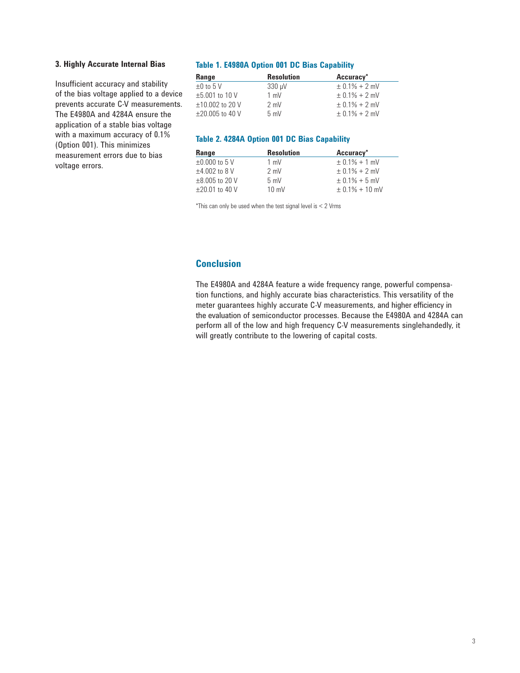### **3. Highly Accurate Internal Bias**

Insufficient accuracy and stability of the bias voltage applied to a device prevents accurate C-V measurements. The E4980A and 4284A ensure the application of a stable bias voltage with a maximum accuracy of 0.1% (Option 001). This minimizes measurement errors due to bias voltage errors.

### **Table 1. E4980A Option 001 DC Bias Capability**

| Range                | <b>Resolution</b> | Accuracy*         |
|----------------------|-------------------|-------------------|
| $\pm 0$ to 5 V       | $330 \mu V$       | $\pm$ 0.1% + 2 mV |
| $\pm 5.001$ to 10 V  | $1 \text{ mV}$    | $\pm$ 0.1% + 2 mV |
| $±10.002$ to 20 V    | $2 \text{ mV}$    | $\pm$ 0.1% + 2 mV |
| $\pm 20.005$ to 40 V | 5 mV              | $+$ 0.1% + 2 mV   |

#### **Table 2. 4284A Option 001 DC Bias Capability**

| Range               | <b>Resolution</b> | Accuracy*         |
|---------------------|-------------------|-------------------|
| $\pm 0.000$ to 5 V  | $1 \text{ mV}$    | $\pm$ 0.1% + 1 mV |
| $±4.002$ to 8 V     | $2 \text{ mV}$    | $+$ 0.1% + 2 mV   |
| $\pm 8.005$ to 20 V | 5 mV              | $\pm$ 0.1% + 5 mV |
| $+20.01$ to 40 V    | $10 \text{ mV}$   | $+0.1\% + 10$ mV  |

 $*$ This can only be used when the test signal level is  $<$  2 Vrms

# **Conclusion**

The E4980A and 4284A feature a wide frequency range, powerful compensation functions, and highly accurate bias characteristics. This versatility of the meter guarantees highly accurate C-V measurements, and higher efficiency in the evaluation of semiconductor processes. Because the E4980A and 4284A can perform all of the low and high frequency C-V measurements singlehandedly, it will greatly contribute to the lowering of capital costs.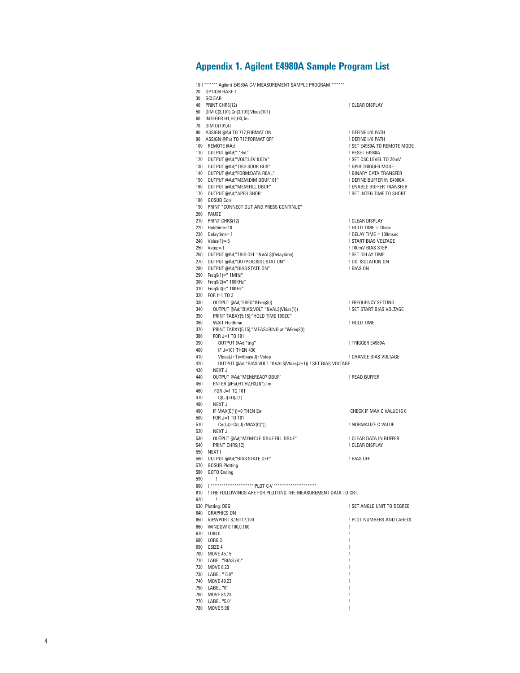# **Appendix 1. Agilent E4980A Sample Program List**

| 20         | 10 !******* Agilent E4980A C-V MEASUREMENT SAMPLE PROGRAM *******<br>OPTION BASE 1 |                                               |
|------------|------------------------------------------------------------------------------------|-----------------------------------------------|
|            | 30 GCLEAR                                                                          |                                               |
|            | 40 PRINT CHRS(12)                                                                  | ! CLEAR DISPLAY                               |
|            | 50 DIM C(3,101), Cn(3,101), Vbias(101)                                             |                                               |
|            | 60 INTEGER H1, H2, H3, Tm                                                          |                                               |
|            | 70 DIM D(101,4)                                                                    |                                               |
|            | 80 ASSIGN @Ad TO 717;FORMAT ON                                                     | ! DEFINE I/0 PATH                             |
|            | 90 ASSIGN @Pat TO 717;FORMAT OFF                                                   | ! DEFINE I/0 PATH                             |
|            | 100 REMOTE @Ad                                                                     | ! SET E4980A TO REMOTE MODE                   |
|            | 110 OUTPUT @Ad;" *Rst"                                                             | ! RESET E4980A                                |
| 130        | 120 OUTPUT @Ad;"VOLT:LEV 0.02V"                                                    | ! SET OSC LEVEL TO 20mV                       |
| 140        | OUTPUT @Ad;"TRIG:SOUR BUS"<br>OUTPUT @Ad;"FORM:DATA REAL"                          | ! GPIB TRIGGER MODE<br>! BINARY DATA TRANSFER |
| 150        | OUTPUT @Ad;"MEM:DIM DBUF,101"                                                      | ! DEFINE BUFFER IN E4980A                     |
| 160        | OUTPUT @Ad;"MEM:FILL DBUF"                                                         | ! ENABLE BUFFER TRANSFER                      |
| 170        | OUTPUT @Ad;"APER SHOR"                                                             | ! SET INTEG TIME TO SHORT                     |
| 180        | <b>GOSUB Corr</b>                                                                  |                                               |
|            | 190 PRINT "CONNECT OUT AND PRESS CONTINUE"                                         |                                               |
|            | 200 PAUSE                                                                          |                                               |
|            | 210 PRINT CHRS(12)                                                                 | ! CLEAR DISPLAY                               |
|            | 220 Holdtime=10                                                                    | $!$ HOLD TIME = 10sec                         |
| 230        | Delaytime=.1                                                                       | ! DELAY TIME = 100msec                        |
| 240        | Vbias $(1)=5$                                                                      | ! START BIAS VOLTAGE                          |
|            | 250 Vstep=.1                                                                       | ! 100mV BIAS STEP                             |
|            | 260 OUTPUT @Ad;"TRIG:DEL "&VALS(Delaytime)                                         | ! SET DELAY TIME                              |
| 270        | OUTPUT @Ad;"OUTP:DC:ISOL:STAT ON"                                                  | ! DCI ISOLATION ON                            |
| 280<br>290 | OUTPUT @Ad;"BIAS:STATE ON"                                                         | ! BIAS ON                                     |
| 300        | FreqS(1)=" 1MHz"<br>FreqS(2)=" 100KHz"                                             |                                               |
| 310        | FreqS(3)=" 10KHz"                                                                  |                                               |
| 320        | $FOR \models 1 TO 3$                                                               |                                               |
| 330        | OUTPUT @Ad;"FREQ"&FreqS(I)                                                         | ! FREQUENCY SETTING                           |
| 340        | OUTPUT @Ad;"BIAS:VOLT "&VAL\$(Vbias(1))                                            | ! SET START BIAS VOLTAGE                      |
| 350        | PRINT TABXY(5,15);"HOLD TIME 10SEC"                                                |                                               |
| 360        | <b>WAIT Holdtime</b>                                                               | ! HOLD TIME                                   |
| 370        | PRINT TABXY(5,15);"MEASURING at "&Freq\$(I)                                        |                                               |
| 380        | FOR J=1 TO 101                                                                     |                                               |
| 390        | OUTPUT @Ad;"trig"                                                                  | ! TRIGGER E4980A                              |
| 400        | IF J=101 THEN 430                                                                  |                                               |
| 410<br>420 | Vbias(J+1)=Vbias(J)+Vstep                                                          | ! CHANGE BIAS VOLTAGE                         |
| 430        | OUTPUT @Ad;"BIAS:VOLT "&VALS(Vbias(J+1)) ! SET BIAS VOLTAGE<br>NEXT J              |                                               |
| 440        | OUTPUT @Ad;"MEM:READ? DBUF"                                                        | ! READ BUFFER                                 |
| 450        | ENTER @Pat;H1,H2,H3,D(*),Tm                                                        |                                               |
| 460        | FOR J=1 TO 101                                                                     |                                               |
| 470        | $C(I,J)=D(J,1)$                                                                    |                                               |
| 480        | NEXT J                                                                             |                                               |
| 490        | IF MAX(C(*))=0 THEN Err                                                            | CHECK IF MAX C VALUE IS 0                     |
| 500        | FOR J=1 TO 101                                                                     |                                               |
| 510        | $Cn(I,J) = C(I,J)/MAX(C(*))$                                                       | ! NORMALIZE C VALUE                           |
| 520        | NEXT J                                                                             |                                               |
| 530        | OUTPUT @Ad;"MEM:CLE DBUF;FILL DBUF"                                                | ! CLEAR DATA IN BUFFER                        |
| 540<br>550 | PRINT CHRS(12)<br>NEXT I                                                           | ! CLEAR DISPLAY                               |
|            | 560 OUTPUT @Ad;"BIAS:STATE OFF"                                                    | ! BIAS OFF                                    |
|            | 570 GOSUB Plotting                                                                 |                                               |
|            | 580 GOTO Ending                                                                    |                                               |
| 590        | L                                                                                  |                                               |
| 600        |                                                                                    |                                               |
| 610        | ! THE FOLLOWINGS ARE FOR PLOTTING THE MEASUREMENT DATA TO CRT.                     |                                               |
| 620        | Ţ                                                                                  |                                               |
|            | 630 Plotting: DEG                                                                  | ! SET ANGLE UNIT TO DEGREE                    |
|            | 640 GRAPHICS ON                                                                    |                                               |
|            | 650 VIEWPORT 8,150,17,100                                                          | ! PLOT NUMBERS AND LABELS                     |
|            | 660 WINDOW 0,100,0,100                                                             | Ţ                                             |
|            | 670 LDIR 0<br>680 LORG 2                                                           | Ţ<br>Ţ                                        |
|            | 690 CSIZE 4                                                                        | Ţ                                             |
|            | 700 MOVE 45,15                                                                     | Ţ                                             |
|            | 710 LABEL "BIAS (V)"                                                               | Ţ                                             |
|            | 720 MOVE 8,23                                                                      | Ţ                                             |
|            | 730 LABEL "-5.0"                                                                   | Ţ                                             |
|            | 740 MOVE 49,23                                                                     | Ţ                                             |
|            | 750 LABEL "0"                                                                      | Ţ                                             |
|            | 760 MOVE 84,23                                                                     | Ţ                                             |
|            | 770 LABEL "5.0"                                                                    | Ţ                                             |
| 780        | <b>MOVE 5,98</b>                                                                   | Ţ                                             |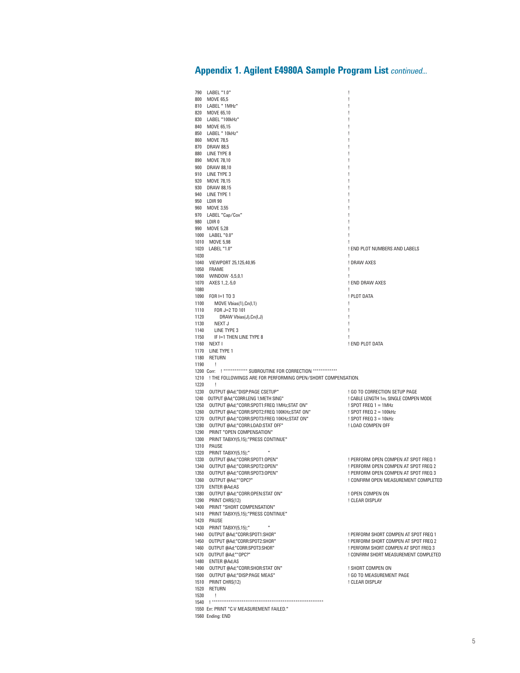# **Appendix 1. Agilent E4980A Sample Program List** *continued...*

|              | 790 LABEL "1.0"                                                               | Ţ                                             |
|--------------|-------------------------------------------------------------------------------|-----------------------------------------------|
|              | 800 MOVE 65,5                                                                 | ı                                             |
|              | 810 LABEL "1MHz"<br>820 MOVE 65.10                                            |                                               |
|              | 830 LABEL "100kHz"                                                            |                                               |
|              | 840 MOVE 65,15                                                                |                                               |
|              | 850 LABEL " 10kHz"                                                            |                                               |
|              | 860 MOVE 78,5                                                                 |                                               |
|              | 870 DRAW 88.5                                                                 |                                               |
|              | 880 LINE TYPE 8                                                               |                                               |
|              | 890 MOVE 78,10                                                                |                                               |
|              | 900 DRAW 88,10                                                                |                                               |
|              | 910 LINE TYPE 3                                                               |                                               |
|              | 920 MOVE 78,15<br>930 DRAW 88,15                                              |                                               |
|              | 940 LINE TYPE 1                                                               |                                               |
|              | 950 LDIR 90                                                                   |                                               |
|              | 960 MOVE 3.55                                                                 |                                               |
|              | 970 LABEL "Cap/Cox"                                                           |                                               |
|              | 980 LDIR 0                                                                    |                                               |
|              | 990 MOVE 5,28                                                                 |                                               |
|              | 1000 LABEL "0.0"<br>1010 MOVE 5,98                                            |                                               |
|              | 1020 LABEL "1.0"                                                              | ! END PLOT NUMBERS AND LABELS                 |
| 1030         |                                                                               |                                               |
|              | 1040 VIEWPORT 25,125,40,95                                                    | ! DRAW AXES                                   |
|              | 1050 FRAME                                                                    | Ţ                                             |
|              | 1060 WINDOW -5,5,0,1                                                          | L                                             |
| 1070         | AXES 1, 2, -5,0                                                               | ! END DRAW AXES                               |
| 1080         |                                                                               | Ţ                                             |
|              | 1090 FOR I=1 TO 3                                                             | ! PLOT DATA                                   |
| 1100<br>1110 | MOVE Vbias(1), Cn(I, 1)<br>FOR J=2 TO 101                                     | Ţ<br>Ţ                                        |
| 1120         | DRAW Vbias(J),Cn(I,J)                                                         |                                               |
| 1130         | NEXT J                                                                        |                                               |
| 1140         | LINE TYPE 3                                                                   |                                               |
| 1150         | IF I=1 THEN LINE TYPE 8                                                       |                                               |
|              | 1160 NEXT I                                                                   | ! END PLOT DATA                               |
|              | 1170 LINE TYPE 1                                                              |                                               |
|              | 1180 RETURN                                                                   |                                               |
| 1190         | ÷<br>1200 Corr: ! ************* SUBROUTINE FOR CORRECTION **************      |                                               |
|              | 1210 ! THE FOLLOWINGS ARE FOR PERFORMING OPEN/SHORT COMPENSATION.             |                                               |
| 1220         | - 1                                                                           |                                               |
|              | 1230 OUTPUT @Ad;"DISP:PAGE CSETUP"                                            | ! GO TO CORRECTION SETUP PAGE                 |
|              | 1240 OUTPUT @Ad;"CORR:LENG 1;METH SING"                                       | ! CABLE LENGTH 1m, SINGLE COMPEN MODE         |
|              | 1250 OUTPUT @Ad;"CORR:SPOT1:FREQ 1MHz;STAT ON"                                | $!$ SPOT FREQ 1 = 1MHz                        |
| 1260         | OUTPUT @Ad;"CORR:SPOT2:FREQ 100KHz;STAT ON"                                   | ! SPOT FREQ $2 = 100$ kHz                     |
| 1270<br>1280 | OUTPUT @Ad;"CORR:SPOT3:FREQ 10KHz;STAT ON"<br>OUTPUT @Ad;"CORR:LOAD:STAT OFF" | ! SPOT FREQ $3 = 10$ kHz<br>! LOAD COMPEN OFF |
| 1290         | PRINT "OPEN COMPENSATION"                                                     |                                               |
|              | 1300 PRINT TABXY(5,15);"PRESS CONTINUE"                                       |                                               |
| 1310         | PAUSE                                                                         |                                               |
| 1320         | PRINT TABXY(5,15);"                                                           |                                               |
| 1330         | OUTPUT @Ad;"CORR:SPOT1:OPEN"                                                  | ! PERFORM OPEN COMPEN AT SPOT FREQ 1          |
| 1340         | OUTPUT @Ad;"CORR:SPOT2:OPEN"                                                  | ! PERFORM OPEN COMPEN AT SPOT FREQ 2          |
| 1350         | OUTPUT @Ad;"CORR:SPOT3:OPEN"                                                  | ! PERFORM OPEN COMPEN AT SPOT FREQ 3          |
| 1360         | OUTPUT @Ad;"*OPC?"                                                            | ! CONFIRM OPEN MEASUREMENT COMPLETED          |
|              | 1370 ENTER @Ad;A\$<br>1380 OUTPUT @Ad;"CORR:OPEN:STAT ON"                     | ! OPEN COMPEN ON                              |
|              | 1390 PRINT CHR\$(12)                                                          | ! CLEAR DISPLAY                               |
|              | 1400 PRINT "SHORT COMPENSATION"                                               |                                               |
|              | 1410 PRINT TABXY(5,15); "PRESS CONTINUE"                                      |                                               |
|              | 1420 PAUSE                                                                    |                                               |
|              | 1430 PRINT TABXY(5,15);"                                                      |                                               |
| 1440         | OUTPUT @Ad;"CORR:SPOT1:SHOR"                                                  | ! PERFORM SHORT COMPEN AT SPOT FREQ 1         |
| 1450         | OUTPUT @Ad;"CORR:SPOT2:SHOR"                                                  | ! PERFORM SHORT COMPEN AT SPOT FREQ 2         |
|              | 1460 OUTPUT @Ad;"CORR:SPOT3:SHOR"                                             | ! PERFORM SHORT COMPEN AT SPOT FREQ 3         |
|              | 1470 OUTPUT @Ad:"*OPC?"<br>1480 ENTER @Ad;A\$                                 | ! CONFIRM SHORT MEASUREMENT COMPLETED         |
|              | 1490 OUTPUT @Ad;"CORR:SHOR:STAT ON"                                           | ! SHORT COMPEN ON                             |
|              | 1500 OUTPUT @Ad;"DISP:PAGE MEAS"                                              | ! GO TO MEASUREMENT PAGE                      |
|              | 1510 PRINT CHRS(12)                                                           | ! CLEAR DISPLAY                               |
| 1520         | RETURN                                                                        |                                               |
| 1530         | T                                                                             |                                               |
|              |                                                                               |                                               |
|              |                                                                               |                                               |
|              | 1550 Err: PRINT "C-V MEASUREMENT FAILED."<br>1560 Ending: END                 |                                               |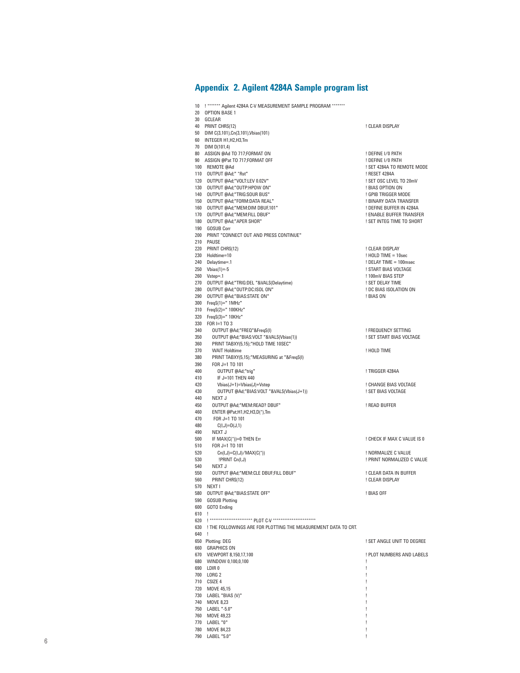### **Appendix 2. Agilent 4284A Sample program list**

10 ! \*\*\*\*\*\*\* Agilent 4284A C-V MEASUREMENT SAMPLE PROGRAM \*\*\*\*\*\*\* 20 OPTION BASE 1 30 GCLEAR 40 PRINT CHRS(12) **20 PRINT CHRS(12) 1** CLEAR DISPLAY 50 DIM C(3,101),Cn(3,101),Vbias(101) 60 INTEGER H1,H2,H3,Tm 70 DIM D(101,4) 80 ASSIGN @Ad TO 717:FORMAT ON **EXAMPLE 20 ASSIGN @Ad TO 717:FORMAT ON** 90 ASSIGN @Pat TO 717;FORMAT OFF **1990 Pat 10 PAT PAT ASSIGN WAS A CONSTRU**<br>100 REMOTE @Ad 1 SET 4284A TO REMOTE MODE<br>! RESET 4284A 110 OUTPUT @Ad;" \*Rst" ! RESET 4284A 120 OUTPUT @Ad;"VOLT:LEV 0.02V" ! SET OSC LEVEL TO 20mV 130 OUTPUT @Ad;"OUTP:HPOW ON" ! BIAS OPTION ON 140 OUTPUT @Ad;"TRIG:SOUR BUS" 150 OUTPUT @Ad;"FORM:DATA REAL" ! BINARY DATA TRANSFER 160 OUTPUT @Ad;"MEM:DIM DBUF,101" ! DEFINE BUFFER IN 4284A 170 OUTPUT @Ad:"MEM:FILL DBUF" 180 OUTPUT @Ad;"APER SHOR" | NORTH SHORT | SET INTEG TIME TO SHORT 190 GOSUB Corr 200 PRINT "CONNECT OUT AND PRESS CONTINUE" 210 PAUSE 220 PRINT CHR\$(12) ! CLEAR DISPLAY 230 Holdtime=10 ! HOLD TIME = 10sec 240 Delaytime=.1 ! DELAY TIME = 100msec 250 Vbias(1)=-5 ! START BIAS VOLTAGE ! 100mV BIAS STEP<br>! SET DELAY TIME 270 OUTPUT @Ad;"TRIG:DEL "&VAL\$(Delaytime) ! SET DELAY TIME 280 OUTPUT @Ad;"OUTP:DC:ISOL ON" ! DC BIAS ISOLATION ON 290 OUTPUT @Ad;"BIAS:STATE ON" 300 Freq\$(1)=" 1MHz" 310 Freq\$(2)=" 100KHz" 320 Freq\$(3)=" 10KHz" 330 FOR I=1 TO 3<br>340 OUTPUT @A 340 OUTPUT @Ad;"FREQ"&Freq\$(I)<br>350 OUTPUT @Ad;"BIAS:VOLT "&VAL\$(Vbias(1)) | FREQUENCY SETTING UNITAGE **OUTPUT @Ad;"BIAS:VOLT "&VALS(Vbias(1))** 360 PRINT TABXY(5,15);"HOLD TIME 10SEC"<br>370 WAIT Holdtime 370 WAIT Holdtime ! HOLD TIME 380 PRINT TABXY(5,15);"MEASURING at "&Freq\$(I) 390 FOR J=1 TO 101 400 OUTPUT @Ad;"trig" | 1990 CONTENT CONTROL 2010 CONTROL 11 TRIGGER 4284A IF J=101 THEN 440 420 Vbias(J+1)=Vbias(J)+Vstep ! CHANGE BIAS VOLTAGE 430 OUTPUT @Ad;"BIAS:VOLT "&VAL\$(Vbias(J+1)) ! SET BIAS VOLTAGE 440 NEXT J 450 OUTPUT @Ad;"MEM:READ? DBUF" ! READ BUFFER 460 ENTER @Pat;H1,H2,H3,D(\*),Tm<br>470 FOR J=1 TO 101 470 FOR J=1 TO 101 480 C(I,J)=D(J,1) 490 NEXT J<br>500 IF MAX(C(\*))=0 THEN Err ! CHECK IF MAX C VALUE IS 0 510 FOR J=1 TO 101<br>520 Co(LI)=C(LI)/ 520 Cn(I,J)=C(I,J)/MAX(C(\*)) ! NORMALIZE C VALUE  ${\small \begin{array}{l} \texttt{530} \\ \texttt{540} \\ \texttt{361} \\ \texttt{541} \\ \texttt{542} \\ \texttt{549} \\ \texttt{541} \\ \texttt{542} \\ \texttt{543} \\ \texttt{545} \\ \texttt{546} \\ \texttt{547} \\ \texttt{548} \\ \texttt{549} \\ \texttt{549} \\ \texttt{540} \\ \texttt{541} \\ \texttt{541} \\ \texttt{542} \\ \texttt{543} \\ \texttt{541} \\ \texttt{541} \\ \texttt{542} \\ \texttt{$ 540 NEXT J<br>550 OUTPUT 550 OUTPUT @Ad;"MEM:CLE DBUF;FILL DBUF" ! CLEAR DATA IN BUFFER ! CLEAR DISPLAY 570 NEXT I 580 OUTPUT @Ad;"BIAS:STATE OFF" ! BIAS OFF 590 GOSUB Plotting 600 GOTO Ending 610 ! 620 !\*\*\*\*\*\*\*\*\*\*\*\*\*\*\*\*\*\*\*\*\*\*\*\*\*\* PLOT C-V \*\*\*\*\*\*\*\*\*\*\*\*\*\*\*\*\*\*\*\*\*\*\*\*\*\*\* 630 ! THE FOLLOWINGS ARE FOR PLOTTING THE MEASUREMENT DATA TO CRT. 640 !<br>650 Plotting: DEG ! SET ANGLE UNIT TO DEGREE 660 GRAPHICS ON<br>670 VIEWPORT 8,150,17,100 **FLOT NUMBERS AND LABELS** 680 WINDOW 0,100,0,100 ! 690 LDIR 0 ! 700 LORG 2 710 CSIZE 4 ! 720 MOVE 45.15 730 LABEL "BIAS (V)" ! 740 MOVE 8 23 750 LABEL "-5.0" 760 MOVE 49,23 ! 770 LABEL "0" !

780 MOVE 84,23 !

790 LABEL "5.0" !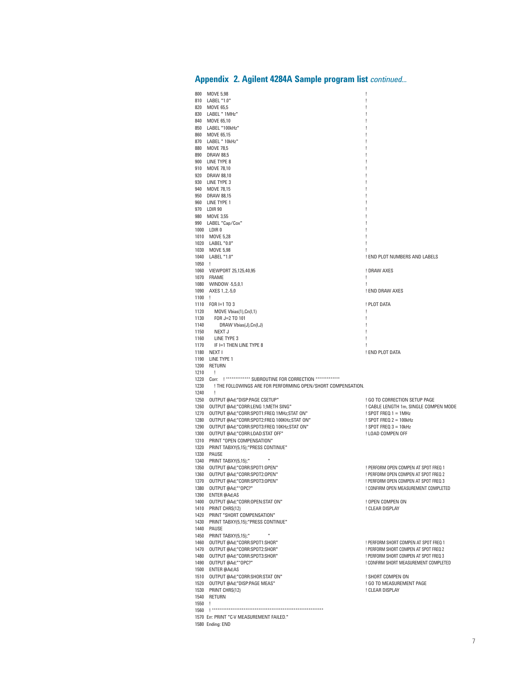|              | 800 MOVE 5,98                                                                        | Ţ                                                                              |
|--------------|--------------------------------------------------------------------------------------|--------------------------------------------------------------------------------|
|              | 810 LABEL "1.0"                                                                      | ı<br>u                                                                         |
|              | 820 MOVE 65,5<br>830 LABEL " 1MHz"                                                   |                                                                                |
|              | 840 MOVE 65,10                                                                       | u                                                                              |
|              | 850 LABEL "100kHz"                                                                   | Ţ                                                                              |
|              | 860 MOVE 65,15<br>870 LABEL " 10kHz"                                                 | u                                                                              |
|              | 880 MOVE 78,5                                                                        | Ţ                                                                              |
|              | 890 DRAW 88,5                                                                        |                                                                                |
|              | 900 LINE TYPE 8                                                                      | u                                                                              |
|              | 910 MOVE 78,10<br>920 DRAW 88,10                                                     | Ţ<br>Ţ                                                                         |
|              | 930 LINE TYPE 3                                                                      | u                                                                              |
|              | 940 MOVE 78,15                                                                       | Ţ                                                                              |
|              | 950 DRAW 88,15<br>960 LINE TYPE 1                                                    | u                                                                              |
|              | 970 LDIR 90                                                                          | Ţ                                                                              |
|              | 980 MOVE 3,55                                                                        |                                                                                |
|              | 990 LABEL "Cap/Cox"                                                                  | u                                                                              |
|              | 1000 LDIR 0<br>1010 MOVE 5,28                                                        | Ţ<br>Ţ                                                                         |
|              | 1020 LABEL "0.0"                                                                     | u                                                                              |
|              | 1030 MOVE 5,98                                                                       | ı                                                                              |
| 1050 !       | 1040 LABEL "1.0"                                                                     | ! END PLOT NUMBERS AND LABELS                                                  |
|              | 1060 VIEWPORT 25,125,40,95                                                           | ! DRAW AXES                                                                    |
|              | 1070 FRAME                                                                           | Ţ                                                                              |
|              | 1080 WINDOW -5,5,0,1<br>1090 AXES 1, 2, -5,0                                         | Ţ                                                                              |
| $1100$ !     |                                                                                      | ! END DRAW AXES                                                                |
|              | 1110 FOR I=1 TO 3                                                                    | ! PLOT DATA                                                                    |
|              | 1120 MOVE Vbias(1), Cn(I,1)                                                          | Ţ                                                                              |
| 1140         | 1130 FOR J=2 TO 101<br>DRAW Vbias(J),Cn(I,J)                                         | Ţ<br>Ţ                                                                         |
|              | 1150 NEXT J                                                                          | Ţ                                                                              |
| 1160         | LINE TYPE 3                                                                          | Ţ                                                                              |
| 1170         | if I=1 then line type 8<br>1180 NEXT I                                               | ! END PLOT DATA                                                                |
|              | 1190 LINE TYPE 1                                                                     |                                                                                |
|              | 1200 RETURN                                                                          |                                                                                |
| 1210         | $\mathbf{I}$<br>1220 Corr: ! ************* SUBROUTINE FOR CORRECTION **************  |                                                                                |
| 1230         | ! THE FOLLOWINGS ARE FOR PERFORMING OPEN/SHORT COMPENSATION.                         |                                                                                |
| 1240         | $\mathbf{I}$                                                                         |                                                                                |
|              | 1250 OUTPUT @Ad;"DISP:PAGE CSETUP"                                                   | ! GO TO CORRECTION SETUP PAGE                                                  |
| 1260         | OUTPUT @Ad;"CORR:LENG 1;METH SING"<br>1270 OUTPUT @Ad;"CORR:SPOT1:FREQ 1MHz;STAT ON" | ! CABLE LENGTH 1m, SINGLE COMPEN MODE<br>$!$ SPOT FREQ 1 = 1MHz                |
|              | 1280 OUTPUT @Ad;"CORR:SPOT2:FREQ 100KHz;STAT ON"                                     | ! SPOT FREQ $2 = 100kHz$                                                       |
|              | 1290 OUTPUT @Ad;"CORR:SPOT3:FREQ 10KHz;STAT ON"                                      | ! SPOT FREQ $3 = 10kHz$                                                        |
|              | 1300 OUTPUT @Ad;"CORR:LOAD:STAT OFF"<br>1310 PRINT "OPEN COMPENSATION"               | ! LOAD COMPEN OFF                                                              |
|              | 1320 PRINT TABXY(5,15);"PRESS CONTINUE"                                              |                                                                                |
|              | 1330 PAUSE                                                                           |                                                                                |
|              | 1340 PRINT TABXY(5,15);"<br>Ħ                                                        |                                                                                |
| 1350<br>1360 | OUTPUT @Ad;"CORR:SPOT1:OPEN"<br>OUTPUT @Ad;"CORR:SPOT2:OPEN"                         | ! PERFORM OPEN COMPEN AT SPOT FREQ 1<br>! PERFORM OPEN COMPEN AT SPOT FREQ 2   |
| 1370         | OUTPUT @Ad;"CORR:SPOT3:OPEN"                                                         | ! PERFORM OPEN COMPEN AT SPOT FREQ 3                                           |
|              | 1380 OUTPUT @Ad;"*OPC?"                                                              | ! CONFIRM OPEN MEASUREMENT COMPLETED                                           |
|              | 1390 ENTER @Ad;A\$<br>1400 OUTPUT @Ad;"CORR:OPEN:STAT ON"                            | ! OPEN COMPEN ON                                                               |
|              | 1410 PRINT CHR\$(12)                                                                 | ! CLEAR DISPLAY                                                                |
|              | 1420 PRINT "SHORT COMPENSATION"                                                      |                                                                                |
|              | 1430 PRINT TABXY(5,15);"PRESS CONTINUE"                                              |                                                                                |
|              | 1440 PAUSE<br>1450 PRINT TABXY(5,15);"                                               |                                                                                |
| 1460         | OUTPUT @Ad:"CORR:SPOT1:SHOR"                                                         | ! PERFORM SHORT COMPEN AT SPOT FREQ 1                                          |
| 1470         | OUTPUT @Ad;"CORR:SPOT2:SHOR"                                                         | ! PERFORM SHORT COMPEN AT SPOT FREQ 2                                          |
|              | 1480 OUTPUT @Ad:"CORR:SPOT3:SHOR"<br>1490 OUTPUT @Ad;"*OPC?"                         | ! PERFORM SHORT COMPEN AT SPOT FREQ 3<br>! CONFIRM SHORT MEASUREMENT COMPLETED |
|              | 1500 ENTER @Ad:AS                                                                    |                                                                                |
|              | 1510 OUTPUT @Ad;"CORR:SHOR:STAT ON"                                                  | ! SHORT COMPEN ON                                                              |
|              | 1520 OUTPUT @Ad;"DISP:PAGE MEAS"                                                     | ! GO TO MEASUREMENT PAGE                                                       |
|              | 1530 PRINT CHR\$(12)<br>1540 RETURN                                                  | ! CLEAR DISPLAY                                                                |
| 1550 !       |                                                                                      |                                                                                |
|              |                                                                                      |                                                                                |
|              | 1570 Err: PRINT "C-V MEASUREMENT FAILED."<br>1580 Ending: END                        |                                                                                |
|              |                                                                                      |                                                                                |

# **Appendix 2. Agilent 4284A Sample program list** *continued...*